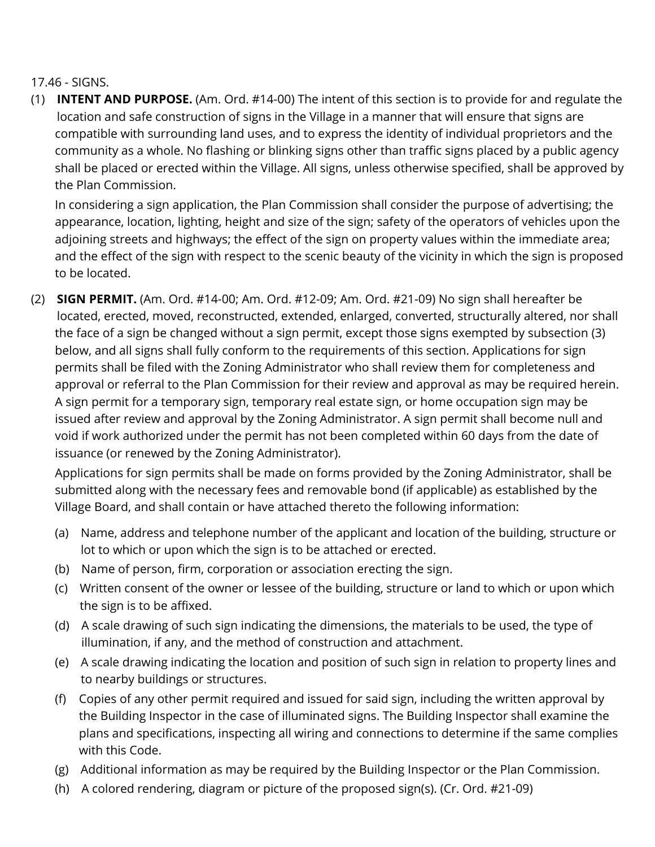## 17.46 - SIGNS.

(1) INTENT AND PURPOSE. (Am. Ord. #14-00) The intent of this section is to provide for and regulate the location and safe construction of signs in the Village in a manner that will ensure that signs are compatible with surrounding land uses, and to express the identity of individual proprietors and the community as a whole. No flashing or blinking signs other than traffic signs placed by a public agency shall be placed or erected within the Village. All signs, unless otherwise specified, shall be approved by the Plan Commission.

In considering a sign application, the Plan Commission shall consider the purpose of advertising; the appearance, location, lighting, height and size of the sign; safety of the operators of vehicles upon the adjoining streets and highways; the effect of the sign on property values within the immediate area; and the effect of the sign with respect to the scenic beauty of the vicinity in which the sign is proposed to be located.

(2) **SIGN PERMIT.** (Am. Ord. #14-00; Am. Ord. #12-09; Am. Ord. #21-09) No sign shall hereafter be located, erected, moved, reconstructed, extended, enlarged, converted, structurally altered, nor shall the face of a sign be changed without a sign permit, except those signs exempted by subsection (3) below, and all signs shall fully conform to the requirements of this section. Applications for sign permits shall be filed with the Zoning Administrator who shall review them for completeness and approval or referral to the Plan Commission for their review and approval as may be required herein. A sign permit for a temporary sign, temporary real estate sign, or home occupation sign may be issued after review and approval by the Zoning Administrator. A sign permit shall become null and void if work authorized under the permit has not been completed within 60 days from the date of issuance (or renewed by the Zoning Administrator).

Applications for sign permits shall be made on forms provided by the Zoning Administrator, shall be submitted along with the necessary fees and removable bond (if applicable) as established by the Village Board, and shall contain or have attached thereto the following information:

- (a) Name, address and telephone number of the applicant and location of the building, structure or lot to which or upon which the sign is to be attached or erected.
- (b) Name of person, firm, corporation or association erecting the sign.
- (c) Written consent of the owner or lessee of the building, structure or land to which or upon which the sign is to be affixed.
- (d) A scale drawing of such sign indicating the dimensions, the materials to be used, the type of illumination, if any, and the method of construction and attachment.
- (e) A scale drawing indicating the location and position of such sign in relation to property lines and to nearby buildings or structures.
- (f) Copies of any other permit required and issued for said sign, including the written approval by the Building Inspector in the case of illuminated signs. The Building Inspector shall examine the plans and specifications, inspecting all wiring and connections to determine if the same complies with this Code.
- (g) Additional information as may be required by the Building Inspector or the Plan Commission.
- (h) A colored rendering, diagram or picture of the proposed sign(s). (Cr. Ord. #21-09)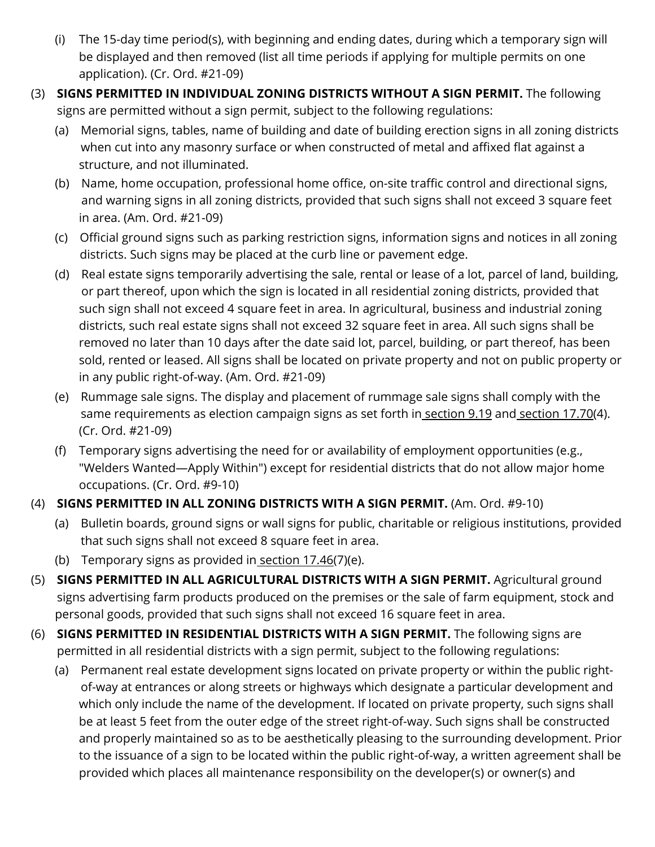- (i) The 15-day time period(s), with beginning and ending dates, during which a temporary sign will be displayed and then removed (list all time periods if applying for multiple permits on one application). (Cr. Ord. #21-09)
- (3) SIGNS PERMITTED IN INDIVIDUAL ZONING DISTRICTS WITHOUT A SIGN PERMIT. The following signs are permitted without a sign permit, subject to the following regulations:
	- (a) Memorial signs, tables, name of building and date of building erection signs in all zoning districts when cut into any masonry surface or when constructed of metal and affixed flat against a structure, and not illuminated.
	- (b) Name, home occupation, professional home office, on-site traffic control and directional signs, and warning signs in all zoning districts, provided that such signs shall not exceed 3 square feet in area. (Am. Ord. #21-09)
	- (c) Official ground signs such as parking restriction signs, information signs and notices in all zoning districts. Such signs may be placed at the curb line or pavement edge.
	- (d) Real estate signs temporarily advertising the sale, rental or lease of a lot, parcel of land, building, or part thereof, upon which the sign is located in all residential zoning districts, provided that such sign shall not exceed 4 square feet in area. In agricultural, business and industrial zoning districts, such real estate signs shall not exceed 32 square feet in area. All such signs shall be removed no later than 10 days after the date said lot, parcel, building, or part thereof, has been sold, rented or leased. All signs shall be located on private property and not on public property or in any public right-of-way. (Am. Ord. #21-09)
	- (e) Rummage sale signs. The display and placement of rummage sale signs shall comply with the same requirements as election campaign signs as set forth in section 9.19 and section 17.70(4). (Cr. Ord. #21-09)
	- (f) Temporary signs advertising the need for or availability of employment opportunities (e.g., "Welders Wanted—Apply Within") except for residential districts that do not allow major home occupations. (Cr. Ord. #9-10)
- (4) SIGNS PERMITTED IN ALL ZONING DISTRICTS WITH A SIGN PERMIT. (Am. Ord. #9-10)
	- (a) Bulletin boards, ground signs or wall signs for public, charitable or religious institutions, provided that such signs shall not exceed 8 square feet in area.
	- (b) Temporary signs as provided in section 17.46(7)(e).
- (5) SIGNS PERMITTED IN ALL AGRICULTURAL DISTRICTS WITH A SIGN PERMIT. Agricultural ground signs advertising farm products produced on the premises or the sale of farm equipment, stock and personal goods, provided that such signs shall not exceed 16 square feet in area.
- (6) SIGNS PERMITTED IN RESIDENTIAL DISTRICTS WITH A SIGN PERMIT. The following signs are permitted in all residential districts with a sign permit, subject to the following regulations:
	- (a) Permanent real estate development signs located on private property or within the public rightof-way at entrances or along streets or highways which designate a particular development and which only include the name of the development. If located on private property, such signs shall be at least 5 feet from the outer edge of the street right-of-way. Such signs shall be constructed and properly maintained so as to be aesthetically pleasing to the surrounding development. Prior to the issuance of a sign to be located within the public right-of-way, a written agreement shall be provided which places all maintenance responsibility on the developer(s) or owner(s) and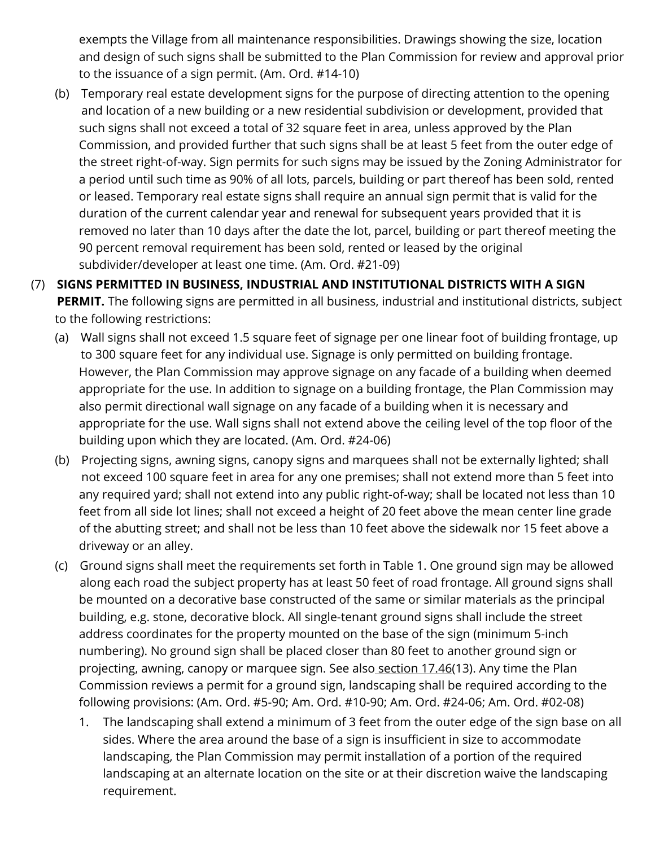exempts the Village from all maintenance responsibilities. Drawings showing the size, location and design of such signs shall be submitted to the Plan Commission for review and approval prior to the issuance of a sign permit. (Am. Ord. #14-10)

- (b) Temporary real estate development signs for the purpose of directing attention to the opening and location of a new building or a new residential subdivision or development, provided that such signs shall not exceed a total of 32 square feet in area, unless approved by the Plan Commission, and provided further that such signs shall be at least 5 feet from the outer edge of the street right-of-way. Sign permits for such signs may be issued by the Zoning Administrator for a period until such time as 90% of all lots, parcels, building or part thereof has been sold, rented or leased. Temporary real estate signs shall require an annual sign permit that is valid for the duration of the current calendar year and renewal for subsequent years provided that it is removed no later than 10 days after the date the lot, parcel, building or part thereof meeting the 90 percent removal requirement has been sold, rented or leased by the original subdivider/developer at least one time. (Am. Ord. #21-09)
- (7) SIGNS PERMITTED IN BUSINESS, INDUSTRIAL AND INSTITUTIONAL DISTRICTS WITH A SIGN PERMIT. The following signs are permitted in all business, industrial and institutional districts, subject to the following restrictions:
	- (a) Wall signs shall not exceed 1.5 square feet of signage per one linear foot of building frontage, up to 300 square feet for any individual use. Signage is only permitted on building frontage. However, the Plan Commission may approve signage on any facade of a building when deemed appropriate for the use. In addition to signage on a building frontage, the Plan Commission may also permit directional wall signage on any facade of a building when it is necessary and appropriate for the use. Wall signs shall not extend above the ceiling level of the top floor of the building upon which they are located. (Am. Ord. #24-06)
	- (b) Projecting signs, awning signs, canopy signs and marquees shall not be externally lighted; shall not exceed 100 square feet in area for any one premises; shall not extend more than 5 feet into any required yard; shall not extend into any public right-of-way; shall be located not less than 10 feet from all side lot lines; shall not exceed a height of 20 feet above the mean center line grade of the abutting street; and shall not be less than 10 feet above the sidewalk nor 15 feet above a driveway or an alley.
	- (c) Ground signs shall meet the requirements set forth in Table 1. One ground sign may be allowed along each road the subject property has at least 50 feet of road frontage. All ground signs shall be mounted on a decorative base constructed of the same or similar materials as the principal building, e.g. stone, decorative block. All single-tenant ground signs shall include the street address coordinates for the property mounted on the base of the sign (minimum 5-inch numbering). No ground sign shall be placed closer than 80 feet to another ground sign or projecting, awning, canopy or marquee sign. See also section 17.46(13). Any time the Plan Commission reviews a permit for a ground sign, landscaping shall be required according to the following provisions: (Am. Ord. #5-90; Am. Ord. #10-90; Am. Ord. #24-06; Am. Ord. #02-08)
		- 1. The landscaping shall extend a minimum of 3 feet from the outer edge of the sign base on all sides. Where the area around the base of a sign is insufficient in size to accommodate landscaping, the Plan Commission may permit installation of a portion of the required landscaping at an alternate location on the site or at their disc[retion](https://www.municode.com/library/) waive the [landscaping](https://www.municode.com/library/) requirement.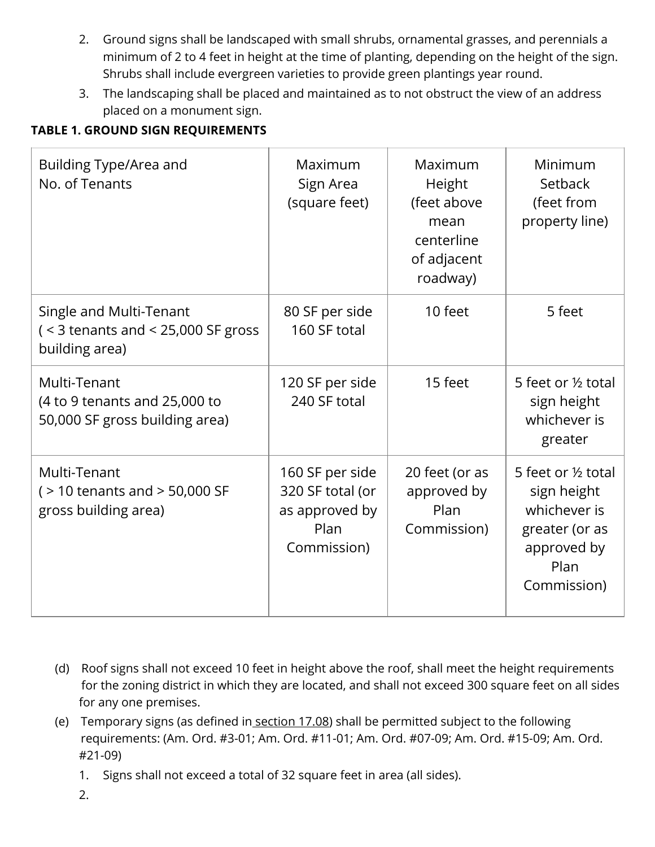- 2. Ground signs shall be landscaped with small shrubs, ornamental grasses, and perennials a minimum of 2 to 4 feet in height at the time of planting, depending on the height of the sign. Shrubs shall include evergreen varieties to provide green plantings year round.
- 3. The landscaping shall be placed and maintained as to not obstruct the view of an address placed on a monument sign.

## TABLE 1. GROUND SIGN REQUIREMENTS

| <b>Building Type/Area and</b><br>No. of Tenants                                            | Maximum<br>Sign Area<br>(square feet)                                        | Maximum<br>Height<br>(feet above<br>mean<br>centerline<br>of adjacent<br>roadway) | Minimum<br>Setback<br>(feet from<br>property line)                                                         |
|--------------------------------------------------------------------------------------------|------------------------------------------------------------------------------|-----------------------------------------------------------------------------------|------------------------------------------------------------------------------------------------------------|
| Single and Multi-Tenant<br>( $\leq$ 3 tenants and $\leq$ 25,000 SF gross<br>building area) | 80 SF per side<br>160 SF total                                               | 10 feet                                                                           | 5 feet                                                                                                     |
| Multi-Tenant<br>(4 to 9 tenants and 25,000 to<br>50,000 SF gross building area)            | 120 SF per side<br>240 SF total                                              | 15 feet                                                                           | 5 feet or 1/2 total<br>sign height<br>whichever is<br>greater                                              |
| Multi-Tenant<br>$($ > 10 tenants and > 50,000 SF<br>gross building area)                   | 160 SF per side<br>320 SF total (or<br>as approved by<br>Plan<br>Commission) | 20 feet (or as<br>approved by<br>Plan<br>Commission)                              | 5 feet or 1/2 total<br>sign height<br>whichever is<br>greater (or as<br>approved by<br>Plan<br>Commission) |

- (d) Roof signs shall not exceed 10 feet in height above the roof, shall meet the height requirements for the zoning district in which they are located, and shall not exceed 300 square feet on all sides for any one premises.
- (e) Temporary signs (as defined in<u> section 17.08</u>) shall be permitted subject to the following requirements: (Am. Ord. #3-01; Am. Ord. #11-01; Am. Ord. #07-09; Am. Ord. #15-09; Am. Ord. #21-09)
	- 1. Signs shall not exceed a total of 32 square feet in area (all sides).
	- 2.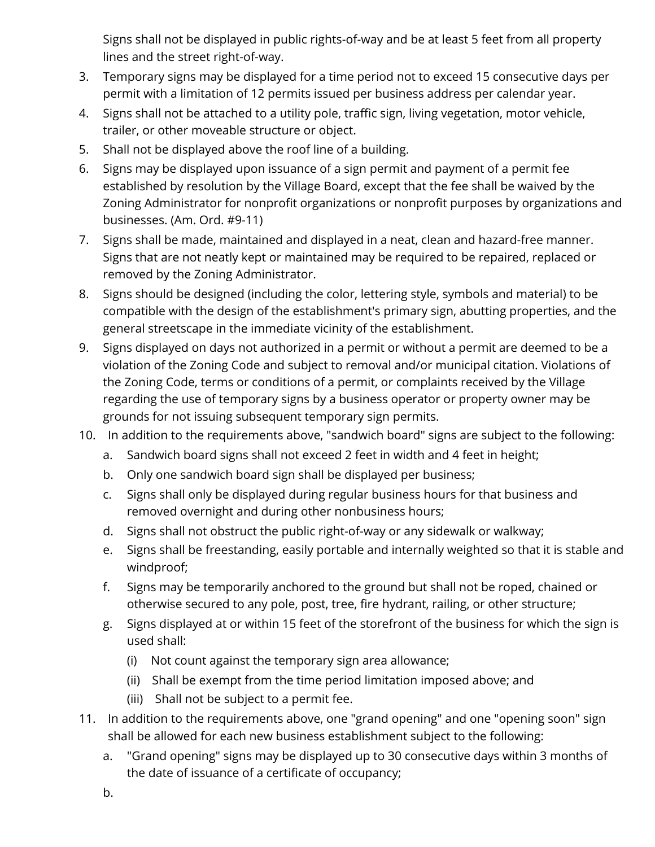Signs shall not be displayed in public rights-of-way and be at least 5 feet from all property lines and the street right-of-way.

- 3. Temporary signs may be displayed for a time period not to exceed 15 consecutive days per permit with a limitation of 12 permits issued per business address per calendar year.
- 4. Signs shall not be attached to a utility pole, traffic sign, living vegetation, motor vehicle, trailer, or other moveable structure or object.
- 5. Shall not be displayed above the roof line of a building.
- 6. Signs may be displayed upon issuance of a sign permit and payment of a permit fee established by resolution by the Village Board, except that the fee shall be waived by the Zoning Administrator for nonprofit organizations or nonprofit purposes by organizations and businesses. (Am. Ord. #9-11)
- 7. Signs shall be made, maintained and displayed in a neat, clean and hazard-free manner. Signs that are not neatly kept or maintained may be r[equired](https://www.municode.com/library/) to be repaired, replaced or removed by the Zoning Administrator.
- 8. Signs should be designed (including the color, lettering style, symbols and material) to be compatible with the design of the establishment's primary sign, abutting properties, and the general streetscape in the immediate vicinity of the establishment.
- 9. Signs displayed on days not authorized in a permit or without a permit are deemed to be a violation of the Zoning Code and subject to removal and/or municipal citation. Violations of the Zoning Code, terms or conditions of a permit, or complaints received by the Village regarding the use of temporary signs by a business operator or property owner may be grounds for not issuing subsequent temporary sign permits.
- 10. In addition to the requirements above, "sandwich board" signs are subject to the following:
	- a. Sandwich board signs shall not exceed 2 feet in width and 4 feet in height;
	- b. Only one sandwich board sign shall be displayed per business;
	- c. Signs shall only be displayed during regular business hours for that business and removed overnight and during other nonbusiness hours;
	- d. Signs shall not obstruct the public right-of-way or any sidewalk or walkway;
	- e. Signs shall be freestanding, easily portable and internally weighted so that it is stable and windproof;
	- f. Signs may be temporarily anchored to the ground but shall not be roped, chained or otherwise secured to any pole, post, tree, fire hydrant, railing, or other structure;
	- g. Signs displayed at or within 15 feet of the storefront of the business for which the sign is used shall:
		- (i) Not count against the temporary sign area allowance;
		- (ii) Shall be exempt from the time period limitation imposed above; and
		- (iii) Shall not be subject to a permit fee.
- 11. In addition to the requirements above, one "grand opening" and one "opening soon" sign shall be allowed for each new business establishment subject to the following:
	- a. "Grand opening" signs may be displayed up to 30 consecutive days within 3 months of the date of issuance of a certificate of occupancy;
	- b.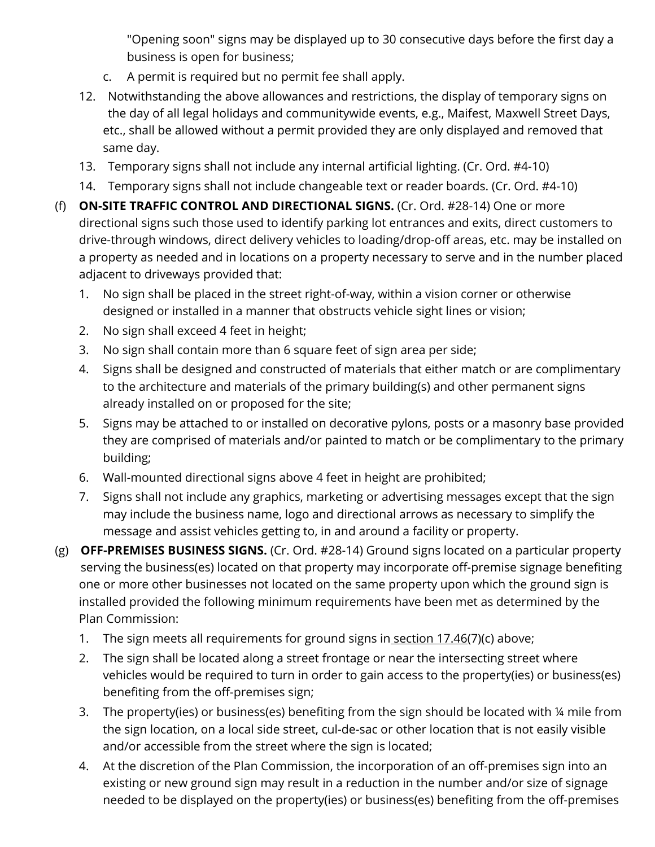"Opening soon" signs may be displayed up to 30 consecutive days before the first day a business is open for business;

- c. A permit is required but no permit fee shall apply.
- 12. Notwithstanding the above allowances and restrictions, the display of temporary signs on the day of all legal holidays and communitywide events, e.g., Maifest, Maxwell Street Days, etc., shall be allowed without a permit provided they are only displayed and removed that same day.
- 13. Temporary signs shall not include any internal artificial lighting. (Cr. Ord. #4-10)
- 14. Temporary signs shall not include changeable text or reader boards. (Cr. Ord. #4-10)
- (f) ON-SITE TRAFFIC CONTROL AND DIRECTIONAL SIGNS. (Cr. Ord. #28-14) One or more directional signs such those used to identify parking lot entrances and exits, direct customers to drive-through windows, direct delivery vehicles to loading/drop-off areas, etc. may be installed on a property as needed and in locations on a property necessary to serve and in the number placed adjacent to driveways provided that:
	- 1. No sign shall be placed in the street right-of-way, within a vision corner or otherwise designed or installed in a manner that [obstruc](https://www.municode.com/library/)ts vehicle sight lines or vision;
	- 2. No sign shall exceed 4 feet in height;
	- 3. No sign shall contain more than 6 square feet of sign area per side;
	- 4. Signs shall be designed and constructed of materials that either match or are complimentary to the architecture and materials of the primary building(s) and other permanent signs already installed on or proposed for the site;
	- 5. Signs may be attached to or installed on decorative pylons, posts or a masonry base provided they are comprised of materials and/or painted to match or be complimentary to the primary building;
	- 6. Wall-mounted directional signs above 4 feet in height are prohibited;
	- 7. Signs shall not include any graphics, marketing or advertising messages except that the sign may include the business name, logo and directional arrows as necessary to simplify the message and assist vehicles getting to, in and around a facility or property.
- (g) **OFF-PREMISES BUSINESS SIGNS.** (Cr. Ord. #28-14) Ground signs located on a particular property serving the business(es) located on that property may incorporate off-premise signage benefiting one or more other businesses not located on the same property upon which the ground sign is installed provided the following minimum requirements have been met as determined by the Plan Commission:
	- 1. The sign meets all requirements for ground signs in section 17.46(7)(c) above;
	- 2. The sign shall be located along a street frontage or near the intersecting street where vehicles would be required to turn in order to gain access to the property(ies) or business(es) benefiting from the off-premises sign;
	- 3. The property(ies) or business(es) benefiting from the sign should be located with ¼ mile from the sign location, on a local side street, cul-de-sac or other location that is not easily visible and/or accessible from the street where the sign is located;
	- 4. At the discretion of the Plan Commission, the incorporation of an off-premises sign into an existing or new ground sign may result in a reduction in the number and/or size of signage needed to be displayed on the property(ies) or business(es) benefiting from the off-premises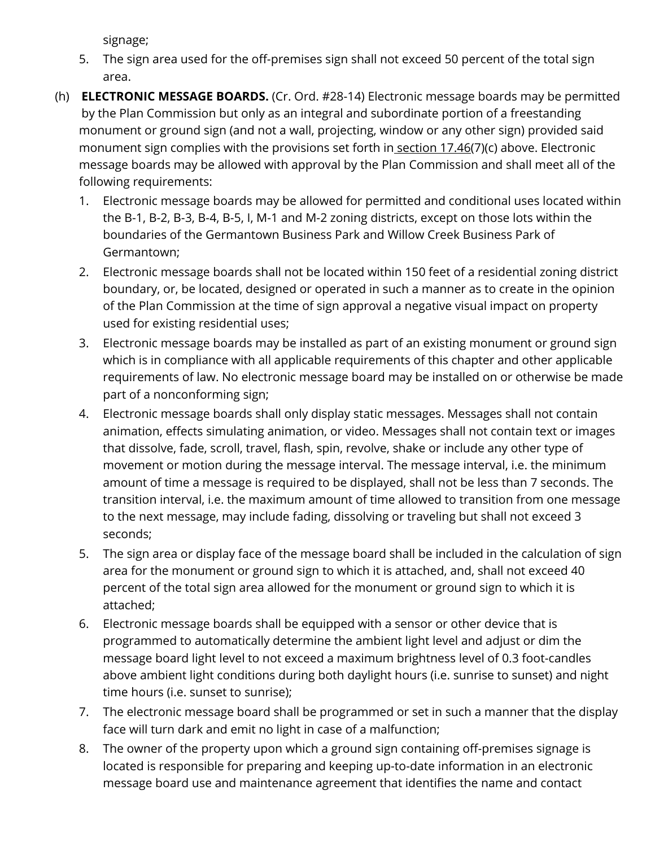signage;

- 5. The sign area used for the off-premises sign shall not exceed 50 percent of the total sign area.
- (h) **ELECTRONIC MESSAGE BOARDS.** (Cr. Ord. #28-14) Electronic message boards may be permitted by the Plan Commission but only as an integral and subordinate portion of a freestanding monument or ground sign (and not a wall, projecting, window or any other sign) provided said monument sign complies with the provisions set forth in section 17.46(7)(c) above. Electronic message boards may be allowed with approval by the Plan Commission and shall meet all of the following requirements:
	- 1. Electronic message boards may be allowed for permitted and conditional uses located within the B-1, B-2, B-3, B-4, B-5, I, M-1 and M-2 zoning districts, except on those lots within the boundaries of the Germantown Business Park and Willow Creek Business Park of Germantown;
	- 2. Electronic message boards shall not be located within 150 feet of a residential zoning district boundary, or, be located, designed or operated in such a manner as to create in the opinion of the Plan Commission at the time of sign approval a negative visual impact on property used for existing residential uses;
	- 3. Electronic message boards may be installed as part of an existing monument or ground sign which is in compliance with all applicable requirements of this chapter and other applicable requirements of law. No electronic message board may be installed on or otherwise be made part of a nonconforming sign;
	- 4. Electronic message boards shall only display static messages. Messages shall not contain animation, effects simulating animation, or video. Messages shall not contain text or images that dissolve, fade, scroll, travel, flash, spin, revolve, shake or include any other type of movement or motion during the message interval. The message interval, i.e. the minimum amount of time a message is required to be displayed, shall not be less than 7 seconds. The transition interval, i.e. the maximum amount of time allowed to transition from one message to the next message, may include fading, dissolving or traveling but shall not exceed 3 seconds;
	- 5. The sign area or display face of the message board shall be included in the calculation of sign area for the monument or ground sign to which it is attached, and, shall not exceed 40 percent of the total sign area allowed for the monument or ground sign to which it is attached;
	- 6. Electronic message boards shall be equipped with a sensor or other device that is programmed to automatically determine the ambient light level and adjust or dim the message board light level to not exceed a maximum brightness level of 0.3 foot-candles above ambient light conditions during both daylight hours (i.e. sunrise to sunset) and night time hours (i.e. sunset to sunrise);
	- 7. The electronic message board shall be programmed or set in such a manner that the display face will turn dark and emit no light in case of a malfunction;
	- 8. The owner of the property upon which a ground sign containing off-premises signage is located is responsible for preparing and keeping up-to-date information in an electronic message board use and maintenance agreement that identifies the name and contact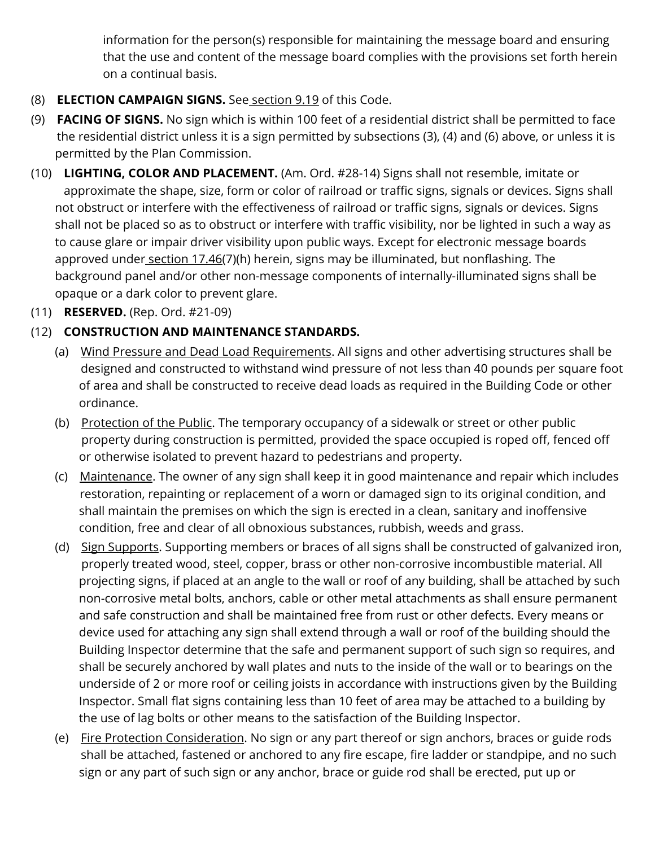information for the person(s) responsible for maintaining the message board and ensuring that the use and content of the message board complies with the provisions set forth herein on a continual basis.

- (8) ELECTION CAMPAIGN SIGNS. See section 9.19 of this Code.
- (9) **FACING OF SIGNS.** No sign which is within 100 feet of a residential district shall be permitted to face the residential district unless it is a sign permitted by subsections (3), (4) and (6) above, or unless it is permitted by the Plan Commission.
- (10) LIGHTING, COLOR AND PLACEMENT. (Am. Ord. #28-14) Signs shall not resemble, imitate or approximate the shape, size, form or color of railroad or traffic signs, signals or devices. Signs shall not obstruct or interfere with the effectiveness of railroad or traffic signs, signals or devices. Signs shall not be placed so as to obstruct or interfere with traffic visib[ility,](https://www.municode.com/library/) nor be lighted in such a way as to cause glare or impair driver visibility upon public ways. Except for electronic message boards approved under section 17.46(7)(h) herein, signs may be illuminated, but nonflashing. The background panel and/or other non-message components of internally-illuminated signs shall be opaque or a dark color to prevent glare.
- (11) RESERVED. (Rep. Ord. #21-09)
- (12) CONSTRUCTION AND MAINTENANCE STANDARDS.
	- (a) Wind Pressure and Dead Load Requirements. All signs and other advertising structures shall be designed and constructed to withstand wind pressure of not less than 40 pounds per square foot of area and shall be constructed to receive dead loads as required in the Building Code or other ordinance.
	- (b) <u>Protection of the Public</u>. The temporary occupancy of a sidewalk or street or other public property during construction is permitted, provided the space occupied is roped off, fenced off or otherwise isolated to prevent hazard to pedestrians and property.
	- (c) Maintenance. The owner of any sign shall keep it in good maintenance and repair which includes restoration, repainting or replacement of a worn or damaged sign to its original condition, and shall maintain the premises on which the sign is erected in a clean, sanitary and inoffensive condition, free and clear of all obnoxious substances, rubbish, [weeds](https://www.municode.com/library/) and grass.
	- (d) Sign Supports. Supporting members or braces of all signs shall be constructed of galvanized iron, properly treated wood, steel, copper, brass or other non-corrosive incombustible material. All projecting signs, if placed at an angle to the wall or roof of any building, shall be attached by such non-corrosive metal bolts, anchors, cable or other metal attachments as shall ensure permanent and safe construction and shall be maintained free from rust or other defects. Every means or device used for attaching any sign shall extend through a wall or roof of the building should the Building Inspector determine that the safe and permanent support of such sign so requires, and shall be securely anchored by wall plates and nuts to the inside of the wall or to bearings on the underside of 2 or more roof or ceiling joists in accordance with instructions given by the Building Inspector. Small flat signs containing less than 10 feet of area may be attached to a building by the use of lag bolts or other means to the satisfaction of the Building Inspector.
	- (e) Fire Protection Consideration. No sign or any part thereof or sign anchors, braces or guide rods shall be attached, fastened or anchored to any fire escape, fire ladder or standpipe, and no such sign or any part of such sign or any anchor, brace or guide rod shall be erected, put up or